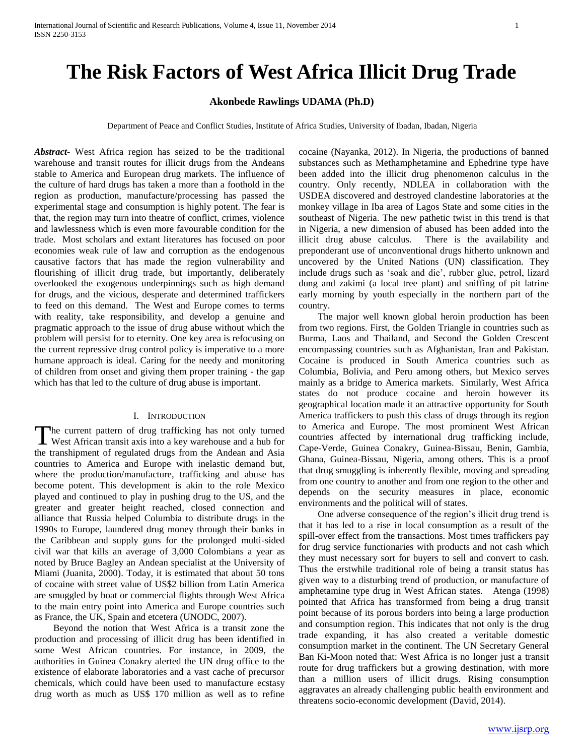# **The Risk Factors of West Africa Illicit Drug Trade**

# **Akonbede Rawlings UDAMA (Ph.D)**

Department of Peace and Conflict Studies, Institute of Africa Studies, University of Ibadan, Ibadan, Nigeria

*Abstract***-** West Africa region has seized to be the traditional warehouse and transit routes for illicit drugs from the Andeans stable to America and European drug markets. The influence of the culture of hard drugs has taken a more than a foothold in the region as production, manufacture/processing has passed the experimental stage and consumption is highly potent. The fear is that, the region may turn into theatre of conflict, crimes, violence and lawlessness which is even more favourable condition for the trade. Most scholars and extant literatures has focused on poor economies weak rule of law and corruption as the endogenous causative factors that has made the region vulnerability and flourishing of illicit drug trade, but importantly, deliberately overlooked the exogenous underpinnings such as high demand for drugs, and the vicious, desperate and determined traffickers to feed on this demand. The West and Europe comes to terms with reality, take responsibility, and develop a genuine and pragmatic approach to the issue of drug abuse without which the problem will persist for to eternity. One key area is refocusing on the current repressive drug control policy is imperative to a more humane approach is ideal. Caring for the needy and monitoring of children from onset and giving them proper training - the gap which has that led to the culture of drug abuse is important.

## I. INTRODUCTION

he current pattern of drug trafficking has not only turned The current pattern of drug trafficking has not only turned<br>West African transit axis into a key warehouse and a hub for the transhipment of regulated drugs from the Andean and Asia countries to America and Europe with inelastic demand but, where the production/manufacture, trafficking and abuse has become potent. This development is akin to the role Mexico played and continued to play in pushing drug to the US, and the greater and greater height reached, closed connection and alliance that Russia helped Columbia to distribute drugs in the 1990s to Europe, laundered drug money through their banks in the Caribbean and supply guns for the prolonged multi-sided civil war that kills an average of 3,000 Colombians a year as noted by Bruce Bagley an Andean specialist at the University of Miami (Juanita, 2000). Today, it is estimated that about 50 tons of cocaine with street value of US\$2 billion from Latin America are smuggled by boat or commercial flights through West Africa to the main entry point into America and Europe countries such as France, the UK, Spain and etcetera (UNODC, 2007).

 Beyond the notion that West Africa is a transit zone the production and processing of illicit drug has been identified in some West African countries. For instance, in 2009, the authorities in Guinea Conakry alerted the UN drug office to the existence of elaborate laboratories and a vast cache of precursor chemicals, which could have been used to manufacture ecstasy drug worth as much as US\$ 170 million as well as to refine

cocaine (Nayanka, 2012). In Nigeria, the productions of banned substances such as Methamphetamine and Ephedrine type have been added into the illicit drug phenomenon calculus in the country. Only recently, NDLEA in collaboration with the USDEA discovered and destroyed clandestine laboratories at the monkey village in Iba area of Lagos State and some cities in the southeast of Nigeria. The new pathetic twist in this trend is that in Nigeria, a new dimension of abused has been added into the illicit drug abuse calculus. There is the availability and preponderant use of unconventional drugs hitherto unknown and uncovered by the United Nations (UN) classification. They include drugs such as 'soak and die', rubber glue, petrol, lizard dung and zakimi (a local tree plant) and sniffing of pit latrine early morning by youth especially in the northern part of the country.

 The major well known global heroin production has been from two regions. First, the Golden Triangle in countries such as Burma, Laos and Thailand, and Second the Golden Crescent encompassing countries such as Afghanistan, Iran and Pakistan. Cocaine is produced in South America countries such as Columbia, Bolivia, and Peru among others, but Mexico serves mainly as a bridge to America markets. Similarly, West Africa states do not produce cocaine and heroin however its geographical location made it an attractive opportunity for South America traffickers to push this class of drugs through its region to America and Europe. The most prominent West African countries affected by international drug trafficking include, Cape-Verde, Guinea Conakry, Guinea-Bissau, Benin, Gambia, Ghana, Guinea-Bissau, Nigeria, among others. This is a proof that drug smuggling is inherently flexible, moving and spreading from one country to another and from one region to the other and depends on the security measures in place, economic environments and the political will of states.

 One adverse consequence of the region's illicit drug trend is that it has led to a rise in local consumption as a result of the spill-over effect from the transactions. Most times traffickers pay for drug service functionaries with products and not cash which they must necessary sort for buyers to sell and convert to cash. Thus the erstwhile traditional role of being a transit status has given way to a disturbing trend of production, or manufacture of amphetamine type drug in West African states. Atenga (1998) pointed that Africa has transformed from being a drug transit point because of its porous borders into being a large production and consumption region. This indicates that not only is the drug trade expanding, it has also created a veritable domestic consumption market in the continent. The UN Secretary General Ban Ki-Moon noted that: West Africa is no longer just a transit route for drug traffickers but a growing destination, with more than a million users of illicit drugs. Rising consumption aggravates an already challenging public health environment and threatens socio-economic development (David, 2014).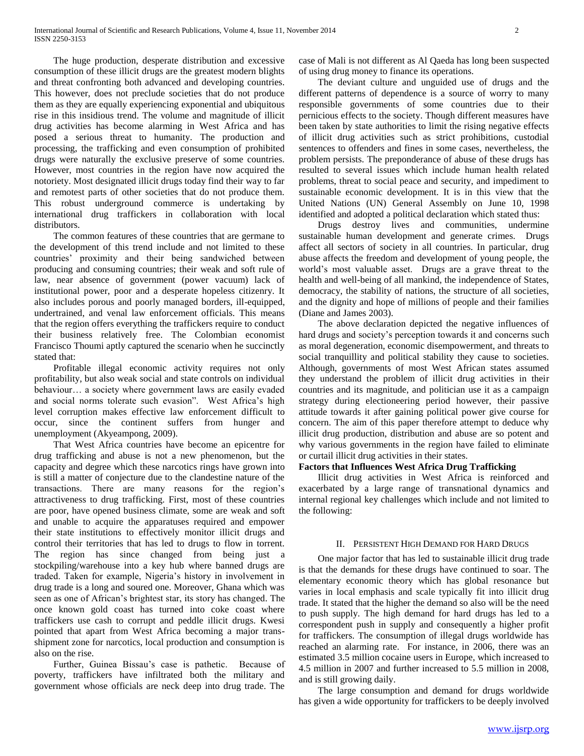The huge production, desperate distribution and excessive consumption of these illicit drugs are the greatest modern blights and threat confronting both advanced and developing countries. This however, does not preclude societies that do not produce them as they are equally experiencing exponential and ubiquitous rise in this insidious trend. The volume and magnitude of illicit drug activities has become alarming in West Africa and has posed a serious threat to humanity. The production and processing, the trafficking and even consumption of prohibited drugs were naturally the exclusive preserve of some countries. However, most countries in the region have now acquired the notoriety. Most designated illicit drugs today find their way to far and remotest parts of other societies that do not produce them. This robust underground commerce is undertaking by international drug traffickers in collaboration with local distributors.

 The common features of these countries that are germane to the development of this trend include and not limited to these countries' proximity and their being sandwiched between producing and consuming countries; their weak and soft rule of law, near absence of government (power vacuum) lack of institutional power, poor and a desperate hopeless citizenry. It also includes porous and poorly managed borders, ill-equipped, undertrained, and venal law enforcement officials. This means that the region offers everything the traffickers require to conduct their business relatively free. The Colombian economist Francisco Thoumi aptly captured the scenario when he succinctly stated that:

 Profitable illegal economic activity requires not only profitability, but also weak social and state controls on individual behaviour… a society where government laws are easily evaded and social norms tolerate such evasion". West Africa's high level corruption makes effective law enforcement difficult to occur, since the continent suffers from hunger and unemployment (Akyeampong, 2009).

 That West Africa countries have become an epicentre for drug trafficking and abuse is not a new phenomenon, but the capacity and degree which these narcotics rings have grown into is still a matter of conjecture due to the clandestine nature of the transactions. There are many reasons for the region's attractiveness to drug trafficking. First, most of these countries are poor, have opened business climate, some are weak and soft and unable to acquire the apparatuses required and empower their state institutions to effectively monitor illicit drugs and control their territories that has led to drugs to flow in torrent. The region has since changed from being just a stockpiling/warehouse into a key hub where banned drugs are traded. Taken for example, Nigeria's history in involvement in drug trade is a long and soured one. Moreover, Ghana which was seen as one of African's brightest star, its story has changed. The once known gold coast has turned into coke coast where traffickers use cash to corrupt and peddle illicit drugs. Kwesi pointed that apart from West Africa becoming a major transshipment zone for narcotics, local production and consumption is also on the rise.

 Further, Guinea Bissau's case is pathetic. Because of poverty, traffickers have infiltrated both the military and government whose officials are neck deep into drug trade. The

case of Mali is not different as Al Qaeda has long been suspected of using drug money to finance its operations.

 The deviant culture and unguided use of drugs and the different patterns of dependence is a source of worry to many responsible governments of some countries due to their pernicious effects to the society. Though different measures have been taken by state authorities to limit the rising negative effects of illicit drug activities such as strict prohibitions, custodial sentences to offenders and fines in some cases, nevertheless, the problem persists. The preponderance of abuse of these drugs has resulted to several issues which include human health related problems, threat to social peace and security, and impediment to sustainable economic development. It is in this view that the United Nations (UN) General Assembly on June 10, 1998 identified and adopted a political declaration which stated thus:

 Drugs destroy lives and communities, undermine sustainable human development and generate crimes. Drugs affect all sectors of society in all countries. In particular, drug abuse affects the freedom and development of young people, the world's most valuable asset. Drugs are a grave threat to the health and well-being of all mankind, the independence of States, democracy, the stability of nations, the structure of all societies, and the dignity and hope of millions of people and their families (Diane and James 2003).

 The above declaration depicted the negative influences of hard drugs and society's perception towards it and concerns such as moral degeneration, economic disempowerment, and threats to social tranquillity and political stability they cause to societies. Although, governments of most West African states assumed they understand the problem of illicit drug activities in their countries and its magnitude, and politician use it as a campaign strategy during electioneering period however, their passive attitude towards it after gaining political power give course for concern. The aim of this paper therefore attempt to deduce why illicit drug production, distribution and abuse are so potent and why various governments in the region have failed to eliminate or curtail illicit drug activities in their states.

# **Factors that Influences West Africa Drug Trafficking**

 Illicit drug activities in West Africa is reinforced and exacerbated by a large range of transnational dynamics and internal regional key challenges which include and not limited to the following:

#### II. PERSISTENT HIGH DEMAND FOR HARD DRUGS

 One major factor that has led to sustainable illicit drug trade is that the demands for these drugs have continued to soar. The elementary economic theory which has global resonance but varies in local emphasis and scale typically fit into illicit drug trade. It stated that the higher the demand so also will be the need to push supply. The high demand for hard drugs has led to a correspondent push in supply and consequently a higher profit for traffickers. The consumption of illegal drugs worldwide has reached an alarming rate. For instance, in 2006, there was an estimated 3.5 million cocaine users in Europe, which increased to 4.5 million in 2007 and further increased to 5.5 million in 2008, and is still growing daily.

 The large consumption and demand for drugs worldwide has given a wide opportunity for traffickers to be deeply involved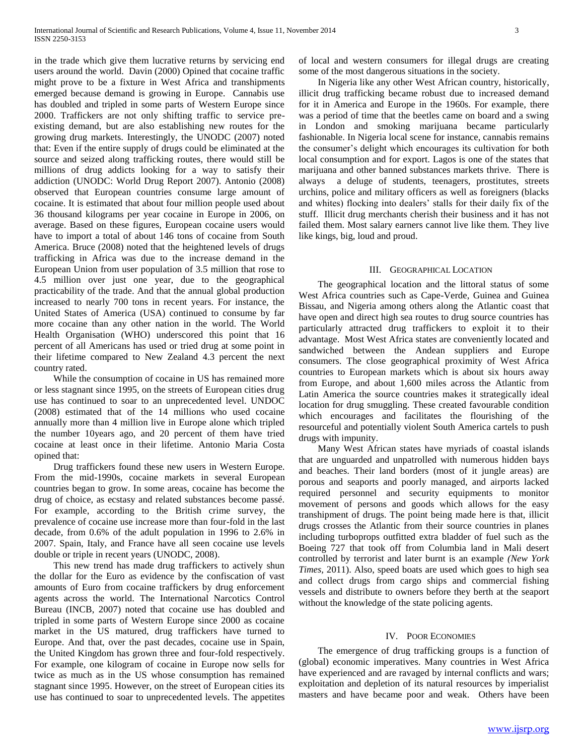in the trade which give them lucrative returns by servicing end users around the world. Davin (2000) Opined that cocaine traffic might prove to be a fixture in West Africa and transhipments emerged because demand is growing in Europe. Cannabis use has doubled and tripled in some parts of Western Europe since 2000. Traffickers are not only shifting traffic to service preexisting demand, but are also establishing new routes for the growing drug markets. Interestingly, the UNODC (2007) noted that: Even if the entire supply of drugs could be eliminated at the source and seized along trafficking routes, there would still be millions of drug addicts looking for a way to satisfy their addiction (UNODC: World Drug Report 2007). Antonio (2008) observed that European countries consume large amount of cocaine. It is estimated that about four million people used about 36 thousand kilograms per year cocaine in Europe in 2006, on average. Based on these figures, European cocaine users would have to import a total of about 146 tons of cocaine from South America. Bruce (2008) noted that the heightened levels of drugs trafficking in Africa was due to the increase demand in the European Union from user population of 3.5 million that rose to 4.5 million over just one year, due to the geographical practicability of the trade. And that the annual global production increased to nearly 700 tons in recent years. For instance, the United States of America (USA) continued to consume by far more cocaine than any other nation in the world. The World Health Organisation (WHO) underscored this point that 16 percent of all Americans has used or tried drug at some point in their lifetime compared to New Zealand 4.3 percent the next country rated.

 While the consumption of cocaine in US has remained more or less stagnant since 1995, on the streets of European cities drug use has continued to soar to an unprecedented level. UNDOC (2008) estimated that of the 14 millions who used cocaine annually more than 4 million live in Europe alone which tripled the number 10years ago, and 20 percent of them have tried cocaine at least once in their lifetime. Antonio Maria Costa opined that:

 Drug traffickers found these new users in Western Europe. From the mid-1990s, cocaine markets in several European countries began to grow. In some areas, cocaine has become the drug of choice, as ecstasy and related substances become passé. For example, according to the British crime survey, the prevalence of cocaine use increase more than four-fold in the last decade, from 0.6% of the adult population in 1996 to 2.6% in 2007. Spain, Italy, and France have all seen cocaine use levels double or triple in recent years (UNODC, 2008)*.*

 This new trend has made drug traffickers to actively shun the dollar for the Euro as evidence by the confiscation of vast amounts of Euro from cocaine traffickers by drug enforcement agents across the world. The International Narcotics Control Bureau (INCB, 2007) noted that cocaine use has doubled and tripled in some parts of Western Europe since 2000 as cocaine market in the US matured, drug traffickers have turned to Europe. And that, over the past decades, cocaine use in Spain, the United Kingdom has grown three and four-fold respectively. For example, one kilogram of cocaine in Europe now sells for twice as much as in the US whose consumption has remained stagnant since 1995. However, on the street of European cities its use has continued to soar to unprecedented levels. The appetites

of local and western consumers for illegal drugs are creating some of the most dangerous situations in the society.

 In Nigeria like any other West African country, historically, illicit drug trafficking became robust due to increased demand for it in America and Europe in the 1960s. For example, there was a period of time that the beetles came on board and a swing in London and smoking marijuana became particularly fashionable. In Nigeria local scene for instance, cannabis remains the consumer's delight which encourages its cultivation for both local consumption and for export. Lagos is one of the states that marijuana and other banned substances markets thrive. There is always a deluge of students, teenagers, prostitutes, streets urchins, police and military officers as well as foreigners (blacks and whites) flocking into dealers' stalls for their daily fix of the stuff. Illicit drug merchants cherish their business and it has not failed them. Most salary earners cannot live like them. They live like kings, big, loud and proud.

#### III. GEOGRAPHICAL LOCATION

 The geographical location and the littoral status of some West Africa countries such as Cape-Verde, Guinea and Guinea Bissau, and Nigeria among others along the Atlantic coast that have open and direct high sea routes to drug source countries has particularly attracted drug traffickers to exploit it to their advantage. Most West Africa states are conveniently located and sandwiched between the Andean suppliers and Europe consumers. The close geographical proximity of West Africa countries to European markets which is about six hours away from Europe, and about 1,600 miles across the Atlantic from Latin America the source countries makes it strategically ideal location for drug smuggling. These created favourable condition which encourages and facilitates the flourishing of the resourceful and potentially violent South America cartels to push drugs with impunity.

 Many West African states have myriads of coastal islands that are unguarded and unpatrolled with numerous hidden bays and beaches. Their land borders (most of it jungle areas) are porous and seaports and poorly managed, and airports lacked required personnel and security equipments to monitor movement of persons and goods which allows for the easy transhipment of drugs. The point being made here is that, illicit drugs crosses the Atlantic from their source countries in planes including turboprops outfitted extra bladder of fuel such as the Boeing 727 that took off from Columbia land in Mali desert controlled by terrorist and later burnt is an example *(New York Times,* 2011). Also, speed boats are used which goes to high sea and collect drugs from cargo ships and commercial fishing vessels and distribute to owners before they berth at the seaport without the knowledge of the state policing agents.

# IV. POOR ECONOMIES

 The emergence of drug trafficking groups is a function of (global) economic imperatives. Many countries in West Africa have experienced and are ravaged by internal conflicts and wars; exploitation and depletion of its natural resources by imperialist masters and have became poor and weak. Others have been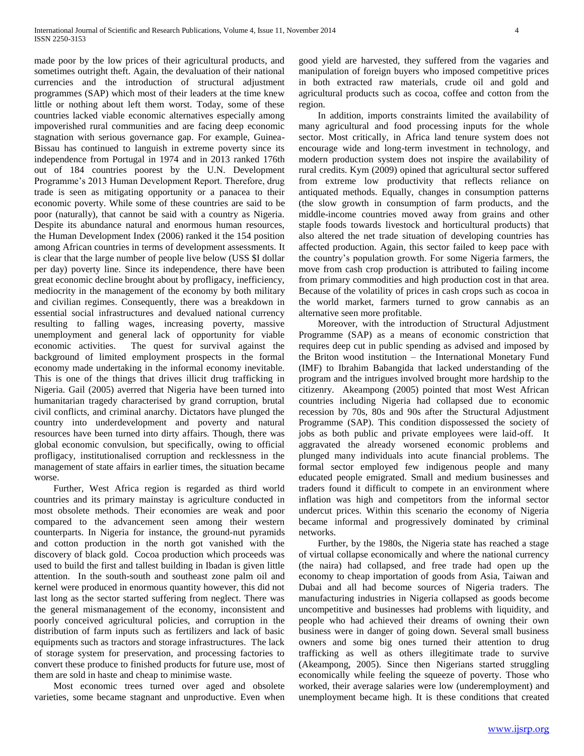made poor by the low prices of their agricultural products, and sometimes outright theft. Again, the devaluation of their national currencies and the introduction of structural adjustment programmes (SAP) which most of their leaders at the time knew little or nothing about left them worst. Today, some of these countries lacked viable economic alternatives especially among impoverished rural communities and are facing deep economic stagnation with serious governance gap. For example, Guinea-Bissau has continued to languish in extreme poverty since its independence from Portugal in 1974 and in 2013 ranked 176th out of 184 countries poorest by the U.N. Development Programme's 2013 Human Development Report. Therefore, drug trade is seen as mitigating opportunity or a panacea to their economic poverty. While some of these countries are said to be poor (naturally), that cannot be said with a country as Nigeria. Despite its abundance natural and enormous human resources, the Human Development Index (2006) ranked it the 154 position among African countries in terms of development assessments. It is clear that the large number of people live below (USS \$I dollar per day) poverty line. Since its independence, there have been great economic decline brought about by profligacy, inefficiency, mediocrity in the management of the economy by both military and civilian regimes. Consequently, there was a breakdown in essential social infrastructures and devalued national currency resulting to falling wages, increasing poverty, massive unemployment and general lack of opportunity for viable economic activities. The quest for survival against the background of limited employment prospects in the formal economy made undertaking in the informal economy inevitable. This is one of the things that drives illicit drug trafficking in Nigeria. Gail (2005) averred that Nigeria have been turned into humanitarian tragedy characterised by grand corruption, brutal civil conflicts, and criminal anarchy. Dictators have plunged the country into underdevelopment and poverty and natural resources have been turned into dirty affairs. Though, there was global economic convulsion, but specifically, owing to official profligacy, institutionalised corruption and recklessness in the management of state affairs in earlier times, the situation became worse.

 Further, West Africa region is regarded as third world countries and its primary mainstay is agriculture conducted in most obsolete methods. Their economies are weak and poor compared to the advancement seen among their western counterparts. In Nigeria for instance, the ground-nut pyramids and cotton production in the north got vanished with the discovery of black gold. Cocoa production which proceeds was used to build the first and tallest building in Ibadan is given little attention. In the south-south and southeast zone palm oil and kernel were produced in enormous quantity however, this did not last long as the sector started suffering from neglect. There was the general mismanagement of the economy, inconsistent and poorly conceived agricultural policies, and corruption in the distribution of farm inputs such as fertilizers and lack of basic equipments such as tractors and storage infrastructures. The lack of storage system for preservation, and processing factories to convert these produce to finished products for future use, most of them are sold in haste and cheap to minimise waste.

 Most economic trees turned over aged and obsolete varieties, some became stagnant and unproductive. Even when

good yield are harvested, they suffered from the vagaries and manipulation of foreign buyers who imposed competitive prices in both extracted raw materials, crude oil and gold and agricultural products such as cocoa, coffee and cotton from the region.

 In addition, imports constraints limited the availability of many agricultural and food processing inputs for the whole sector. Most critically, in Africa land tenure system does not encourage wide and long-term investment in technology, and modern production system does not inspire the availability of rural credits. Kym (2009) opined that agricultural sector suffered from extreme low productivity that reflects reliance on antiquated methods. Equally, changes in consumption patterns (the slow growth in consumption of farm products, and the middle-income countries moved away from grains and other staple foods towards livestock and horticultural products) that also altered the net trade situation of developing countries has affected production. Again, this sector failed to keep pace with the country's population growth. For some Nigeria farmers, the move from cash crop production is attributed to failing income from primary commodities and high production cost in that area. Because of the volatility of prices in cash crops such as cocoa in the world market, farmers turned to grow cannabis as an alternative seen more profitable.

 Moreover, with the introduction of Structural Adjustment Programme (SAP) as a means of economic constriction that requires deep cut in public spending as advised and imposed by the Briton wood institution – the International Monetary Fund (IMF) to Ibrahim Babangida that lacked understanding of the program and the intrigues involved brought more hardship to the citizenry. Akeampong (2005) pointed that most West African countries including Nigeria had collapsed due to economic recession by 70s, 80s and 90s after the Structural Adjustment Programme (SAP). This condition dispossessed the society of jobs as both public and private employees were laid-off. It aggravated the already worsened economic problems and plunged many individuals into acute financial problems. The formal sector employed few indigenous people and many educated people emigrated. Small and medium businesses and traders found it difficult to compete in an environment where inflation was high and competitors from the informal sector undercut prices. Within this scenario the economy of Nigeria became informal and progressively dominated by criminal networks.

 Further, by the 1980s, the Nigeria state has reached a stage of virtual collapse economically and where the national currency (the naira) had collapsed, and free trade had open up the economy to cheap importation of goods from Asia, Taiwan and Dubai and all had become sources of Nigeria traders. The manufacturing industries in Nigeria collapsed as goods become uncompetitive and businesses had problems with liquidity, and people who had achieved their dreams of owning their own business were in danger of going down. Several small business owners and some big ones turned their attention to drug trafficking as well as others illegitimate trade to survive (Akeampong, 2005). Since then Nigerians started struggling economically while feeling the squeeze of poverty. Those who worked, their average salaries were low (underemployment) and unemployment became high. It is these conditions that created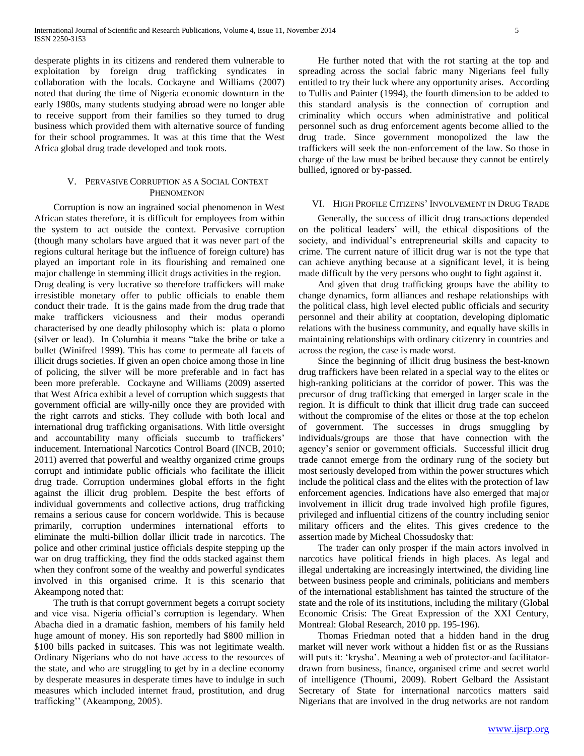desperate plights in its citizens and rendered them vulnerable to exploitation by foreign drug trafficking syndicates in collaboration with the locals. Cockayne and Williams (2007) noted that during the time of Nigeria economic downturn in the early 1980s, many students studying abroad were no longer able to receive support from their families so they turned to drug business which provided them with alternative source of funding for their school programmes. It was at this time that the West Africa global drug trade developed and took roots.

# V. PERVASIVE CORRUPTION AS A SOCIAL CONTEXT PHENOMENON

 Corruption is now an ingrained social phenomenon in West African states therefore, it is difficult for employees from within the system to act outside the context. Pervasive corruption (though many scholars have argued that it was never part of the regions cultural heritage but the influence of foreign culture) has played an important role in its flourishing and remained one major challenge in stemming illicit drugs activities in the region. Drug dealing is very lucrative so therefore traffickers will make irresistible monetary offer to public officials to enable them conduct their trade. It is the gains made from the drug trade that make traffickers viciousness and their modus operandi characterised by one deadly philosophy which is: plata o plomo (silver or lead). In Columbia it means "take the bribe or take a bullet (Winifred 1999). This has come to permeate all facets of illicit drugs societies. If given an open choice among those in line of policing, the silver will be more preferable and in fact has been more preferable. Cockayne and Williams (2009) asserted that West Africa exhibit a level of corruption which suggests that government official are willy-nilly once they are provided with the right carrots and sticks. They collude with both local and international drug trafficking organisations. With little oversight and accountability many officials succumb to traffickers' inducement. International Narcotics Control Board (INCB, 2010; 2011) averred that powerful and wealthy organized crime groups corrupt and intimidate public officials who facilitate the illicit drug trade. Corruption undermines global efforts in the fight against the illicit drug problem. Despite the best efforts of individual governments and collective actions, drug trafficking remains a serious cause for concern worldwide. This is because primarily, corruption undermines international efforts to eliminate the multi-billion dollar illicit trade in narcotics. The police and other criminal justice officials despite stepping up the war on drug trafficking, they find the odds stacked against them when they confront some of the wealthy and powerful syndicates involved in this organised crime. It is this scenario that Akeampong noted that:

 The truth is that corrupt government begets a corrupt society and vice visa. Nigeria official's corruption is legendary. When Abacha died in a dramatic fashion, members of his family held huge amount of money. His son reportedly had \$800 million in \$100 bills packed in suitcases. This was not legitimate wealth. Ordinary Nigerians who do not have access to the resources of the state, and who are struggling to get by in a decline economy by desperate measures in desperate times have to indulge in such measures which included internet fraud, prostitution, and drug trafficking'' (Akeampong, 2005).

 He further noted that with the rot starting at the top and spreading across the social fabric many Nigerians feel fully entitled to try their luck where any opportunity arises. According to Tullis and Painter (1994), the fourth dimension to be added to this standard analysis is the connection of corruption and criminality which occurs when administrative and political personnel such as drug enforcement agents become allied to the drug trade. Since government monopolized the law the traffickers will seek the non-enforcement of the law. So those in charge of the law must be bribed because they cannot be entirely bullied, ignored or by-passed.

#### VI. HIGH PROFILE CITIZENS' INVOLVEMENT IN DRUG TRADE

 Generally, the success of illicit drug transactions depended on the political leaders' will, the ethical dispositions of the society, and individual's entrepreneurial skills and capacity to crime. The current nature of illicit drug war is not the type that can achieve anything because at a significant level, it is being made difficult by the very persons who ought to fight against it.

 And given that drug trafficking groups have the ability to change dynamics, form alliances and reshape relationships with the political class, high level elected public officials and security personnel and their ability at cooptation, developing diplomatic relations with the business community, and equally have skills in maintaining relationships with ordinary citizenry in countries and across the region, the case is made worst.

 Since the beginning of illicit drug business the best-known drug traffickers have been related in a special way to the elites or high-ranking politicians at the corridor of power. This was the precursor of drug trafficking that emerged in larger scale in the region. It is difficult to think that illicit drug trade can succeed without the compromise of the elites or those at the top echelon of government. The successes in drugs smuggling by individuals/groups are those that have connection with the agency's senior or government officials. Successful illicit drug trade cannot emerge from the ordinary rung of the society but most seriously developed from within the power structures which include the political class and the elites with the protection of law enforcement agencies. Indications have also emerged that major involvement in illicit drug trade involved high profile figures, privileged and influential citizens of the country including senior military officers and the elites. This gives credence to the assertion made by Micheal Chossudosky that:

 The trader can only prosper if the main actors involved in narcotics have political friends in high places. As legal and illegal undertaking are increasingly intertwined, the dividing line between business people and criminals, politicians and members of the international establishment has tainted the structure of the state and the role of its institutions, including the military (Global Economic Crisis: The Great Expression of the XXI Century, Montreal: Global Research, 2010 pp. 195-196).

 Thomas Friedman noted that a hidden hand in the drug market will never work without a hidden fist or as the Russians will puts it: 'krysha'. Meaning a web of protector-and facilitatordrawn from business, finance, organised crime and secret world of intelligence (Thoumi, 2009). Robert Gelbard the Assistant Secretary of State for international narcotics matters said Nigerians that are involved in the drug networks are not random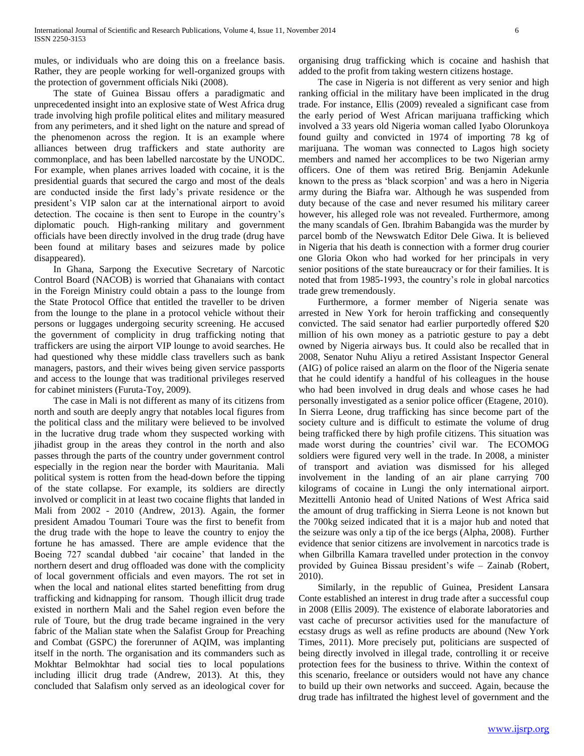mules, or individuals who are doing this on a freelance basis. Rather, they are people working for well-organized groups with the protection of government officials Niki (2008).

 The state of Guinea Bissau offers a paradigmatic and unprecedented insight into an explosive state of West Africa drug trade involving high profile political elites and military measured from any perimeters, and it shed light on the nature and spread of the phenomenon across the region. It is an example where alliances between drug traffickers and state authority are commonplace, and has been labelled narcostate by the UNODC. For example, when planes arrives loaded with cocaine, it is the presidential guards that secured the cargo and most of the deals are conducted inside the first lady's private residence or the president's VIP salon car at the international airport to avoid detection. The cocaine is then sent to Europe in the country's diplomatic pouch. High-ranking military and government officials have been directly involved in the drug trade (drug have been found at military bases and seizures made by police disappeared).

 In Ghana, Sarpong the Executive Secretary of Narcotic Control Board (NACOB) is worried that Ghanaians with contact in the Foreign Ministry could obtain a pass to the lounge from the State Protocol Office that entitled the traveller to be driven from the lounge to the plane in a protocol vehicle without their persons or luggages undergoing security screening. He accused the government of complicity in drug trafficking noting that traffickers are using the airport VIP lounge to avoid searches. He had questioned why these middle class travellers such as bank managers, pastors, and their wives being given service passports and access to the lounge that was traditional privileges reserved for cabinet ministers (Furuta-Toy, 2009).

 The case in Mali is not different as many of its citizens from north and south are deeply angry that notables local figures from the political class and the military were believed to be involved in the lucrative drug trade whom they suspected working with jihadist group in the areas they control in the north and also passes through the parts of the country under government control especially in the region near the border with Mauritania. Mali political system is rotten from the head-down before the tipping of the state collapse. For example, its soldiers are directly involved or complicit in at least two cocaine flights that landed in Mali from 2002 - 2010 (Andrew, 2013). Again, the former president Amadou Toumari Toure was the first to benefit from the drug trade with the hope to leave the country to enjoy the fortune he has amassed. There are ample evidence that the Boeing 727 scandal dubbed 'air cocaine' that landed in the northern desert and drug offloaded was done with the complicity of local government officials and even mayors. The rot set in when the local and national elites started benefitting from drug trafficking and kidnapping for ransom. Though illicit drug trade existed in northern Mali and the Sahel region even before the rule of Toure, but the drug trade became ingrained in the very fabric of the Malian state when the Salafist Group for Preaching and Combat (GSPC) the forerunner of AQIM, was implanting itself in the north. The organisation and its commanders such as Mokhtar Belmokhtar had social ties to local populations including illicit drug trade (Andrew, 2013). At this, they concluded that Salafism only served as an ideological cover for

organising drug trafficking which is cocaine and hashish that added to the profit from taking western citizens hostage.

 The case in Nigeria is not different as very senior and high ranking official in the military have been implicated in the drug trade. For instance, Ellis (2009) revealed a significant case from the early period of West African marijuana trafficking which involved a 33 years old Nigeria woman called Iyabo Olorunkoya found guilty and convicted in 1974 of importing 78 kg of marijuana. The woman was connected to Lagos high society members and named her accomplices to be two Nigerian army officers. One of them was retired Brig. Benjamin Adekunle known to the press as 'black scorpion' and was a hero in Nigeria army during the Biafra war. Although he was suspended from duty because of the case and never resumed his military career however, his alleged role was not revealed. Furthermore, among the many scandals of Gen. Ibrahim Babangida was the murder by parcel bomb of the Newswatch Editor Dele Giwa. It is believed in Nigeria that his death is connection with a former drug courier one Gloria Okon who had worked for her principals in very senior positions of the state bureaucracy or for their families. It is noted that from 1985-1993, the country's role in global narcotics trade grew tremendously.

 Furthermore, a former member of Nigeria senate was arrested in New York for heroin trafficking and consequently convicted. The said senator had earlier purportedly offered \$20 million of his own money as a patriotic gesture to pay a debt owned by Nigeria airways bus. It could also be recalled that in 2008, Senator Nuhu Aliyu a retired Assistant Inspector General (AIG) of police raised an alarm on the floor of the Nigeria senate that he could identify a handful of his colleagues in the house who had been involved in drug deals and whose cases he had personally investigated as a senior police officer (Etagene, 2010). In Sierra Leone, drug trafficking has since become part of the society culture and is difficult to estimate the volume of drug being trafficked there by high profile citizens. This situation was made worst during the countries' civil war. The ECOMOG soldiers were figured very well in the trade. In 2008, a minister of transport and aviation was dismissed for his alleged involvement in the landing of an air plane carrying 700 kilograms of cocaine in Lungi the only international airport. Mezittelli Antonio head of United Nations of West Africa said the amount of drug trafficking in Sierra Leone is not known but the 700kg seized indicated that it is a major hub and noted that the seizure was only a tip of the ice bergs (Alpha, 2008). Further evidence that senior citizens are involvement in narcotics trade is when Gilbrilla Kamara travelled under protection in the convoy provided by Guinea Bissau president's wife – Zainab (Robert, 2010).

 Similarly, in the republic of Guinea, President Lansara Conte established an interest in drug trade after a successful coup in 2008 (Ellis 2009). The existence of elaborate laboratories and vast cache of precursor activities used for the manufacture of ecstasy drugs as well as refine products are abound (New York Times, 2011). More precisely put, politicians are suspected of being directly involved in illegal trade, controlling it or receive protection fees for the business to thrive. Within the context of this scenario, freelance or outsiders would not have any chance to build up their own networks and succeed. Again, because the drug trade has infiltrated the highest level of government and the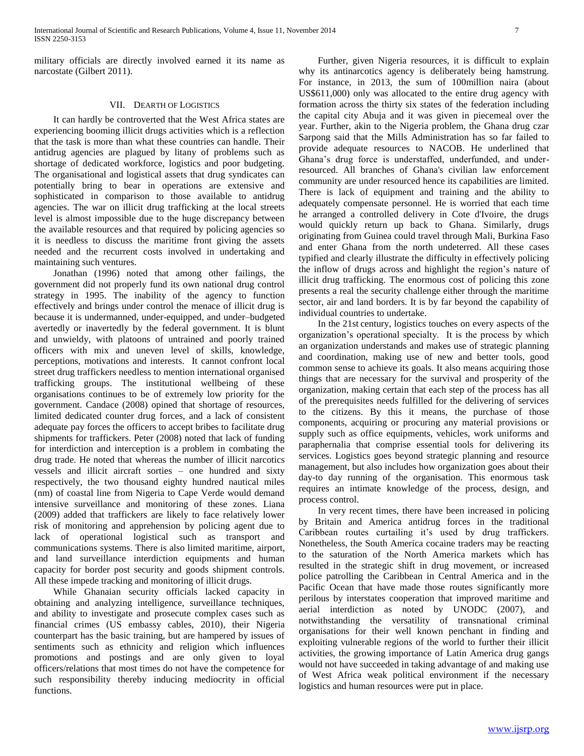military officials are directly involved earned it its name as narcostate (Gilbert 2011).

# VII. DEARTH OF LOGISTICS

 It can hardly be controverted that the West Africa states are experiencing booming illicit drugs activities which is a reflection that the task is more than what these countries can handle. Their antidrug agencies are plagued by litany of problems such as shortage of dedicated workforce, logistics and poor budgeting. The organisational and logistical assets that drug syndicates can potentially bring to bear in operations are extensive and sophisticated in comparison to those available to antidrug agencies. The war on illicit drug trafficking at the local streets level is almost impossible due to the huge discrepancy between the available resources and that required by policing agencies so it is needless to discuss the maritime front giving the assets needed and the recurrent costs involved in undertaking and maintaining such ventures.

 Jonathan (1996) noted that among other failings, the government did not properly fund its own national drug control strategy in 1995. The inability of the agency to function effectively and brings under control the menace of illicit drug is because it is undermanned, under-equipped, and under–budgeted avertedly or inavertedly by the federal government. It is blunt and unwieldy, with platoons of untrained and poorly trained officers with mix and uneven level of skills, knowledge, perceptions, motivations and interests. It cannot confront local street drug traffickers needless to mention international organised trafficking groups. The institutional wellbeing of these organisations continues to be of extremely low priority for the government. Candace (2008) opined that shortage of resources, limited dedicated counter drug forces, and a lack of consistent adequate pay forces the officers to accept bribes to facilitate drug shipments for traffickers. Peter (2008) noted that lack of funding for interdiction and interception is a problem in combating the drug trade. He noted that whereas the number of illicit narcotics vessels and illicit aircraft sorties – one hundred and sixty respectively, the two thousand eighty hundred nautical miles (nm) of coastal line from Nigeria to Cape Verde would demand intensive surveillance and monitoring of these zones. Liana (2009) added that traffickers are likely to face relatively lower risk of monitoring and apprehension by policing agent due to lack of operational logistical such as transport and communications systems. There is also limited maritime, airport, and land surveillance interdiction equipments and human capacity for border post security and goods shipment controls. All these impede tracking and monitoring of illicit drugs.

 While Ghanaian security officials lacked capacity in obtaining and analyzing intelligence, surveillance techniques, and ability to investigate and prosecute complex cases such as financial crimes (US embassy cables, 2010), their Nigeria counterpart has the basic training, but are hampered by issues of sentiments such as ethnicity and religion which influences promotions and postings and are only given to loyal officers/relations that most times do not have the competence for such responsibility thereby inducing mediocrity in official functions.

 Further, given Nigeria resources, it is difficult to explain why its antinarcotics agency is deliberately being hamstrung. For instance, in 2013, the sum of 100million naira (about US\$611,000) only was allocated to the entire drug agency with formation across the thirty six states of the federation including the capital city Abuja and it was given in piecemeal over the year. Further, akin to the Nigeria problem, the Ghana drug czar Sarpong said that the Mills Administration has so far failed to provide adequate resources to NACOB. He underlined that Ghana's drug force is understaffed, underfunded, and underresourced. All branches of Ghana's civilian law enforcement community are under resourced hence its capabilities are limited. There is lack of equipment and training and the ability to adequately compensate personnel. He is worried that each time he arranged a controlled delivery in Cote d'Ivoire, the drugs would quickly return up back to Ghana. Similarly, drugs originating from Guinea could travel through Mali, Burkina Faso and enter Ghana from the north undeterred. All these cases typified and clearly illustrate the difficulty in effectively policing the inflow of drugs across and highlight the region's nature of illicit drug trafficking. The enormous cost of policing this zone presents a real the security challenge either through the maritime sector, air and land borders. It is by far beyond the capability of individual countries to undertake.

 In the 21st century, logistics touches on every aspects of the organization's operational specialty. It is the process by which an organization understands and makes use of strategic planning and coordination, making use of new and better tools, good common sense to achieve its goals. It also means acquiring those things that are necessary for the survival and prosperity of the organization, making certain that each step of the process has all of the prerequisites needs fulfilled for the delivering of services to the citizens. By this it means, the purchase of those components, acquiring or procuring any material provisions or supply such as office equipments, vehicles, work uniforms and paraphernalia that comprise essential tools for delivering its services. Logistics goes beyond strategic planning and resource management, but also includes how organization goes about their day-to day running of the organisation. This enormous task requires an intimate knowledge of the process, design, and process control.

 In very recent times, there have been increased in policing by Britain and America antidrug forces in the traditional Caribbean routes curtailing it's used by drug traffickers. Nonetheless, the South America cocaine traders may be reacting to the saturation of the North America markets which has resulted in the strategic shift in drug movement, or increased police patrolling the Caribbean in Central America and in the Pacific Ocean that have made those routes significantly more perilous by interstates cooperation that improved maritime and aerial interdiction as noted by UNODC (2007), and notwithstanding the versatility of transnational criminal organisations for their well known penchant in finding and exploiting vulnerable regions of the world to further their illicit activities, the growing importance of Latin America drug gangs would not have succeeded in taking advantage of and making use of West Africa weak political environment if the necessary logistics and human resources were put in place.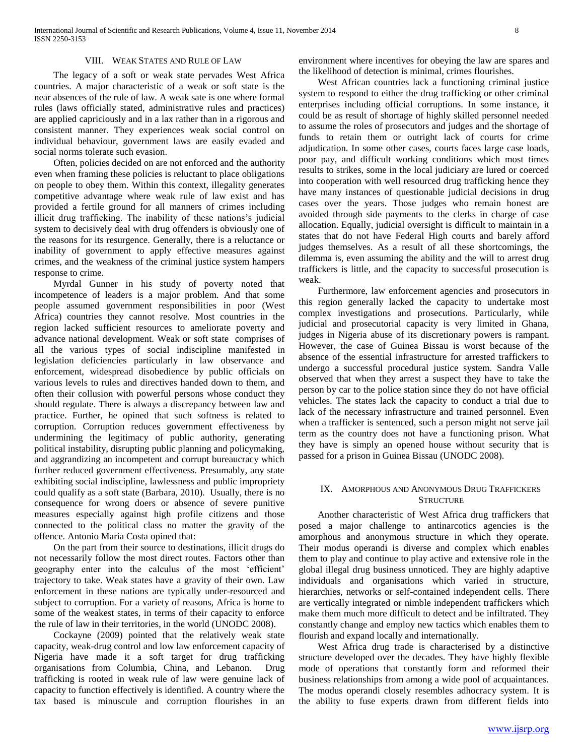## VIII. WEAK STATES AND RULE OF LAW

 The legacy of a soft or weak state pervades West Africa countries. A major characteristic of a weak or soft state is the near absences of the rule of law. A weak sate is one where formal rules (laws officially stated, administrative rules and practices) are applied capriciously and in a lax rather than in a rigorous and consistent manner. They experiences weak social control on individual behaviour, government laws are easily evaded and social norms tolerate such evasion.

 Often, policies decided on are not enforced and the authority even when framing these policies is reluctant to place obligations on people to obey them. Within this context, illegality generates competitive advantage where weak rule of law exist and has provided a fertile ground for all manners of crimes including illicit drug trafficking. The inability of these nations's judicial system to decisively deal with drug offenders is obviously one of the reasons for its resurgence. Generally, there is a reluctance or inability of government to apply effective measures against crimes, and the weakness of the criminal justice system hampers response to crime.

 Myrdal Gunner in his study of poverty noted that incompetence of leaders is a major problem. And that some people assumed government responsibilities in poor (West Africa) countries they cannot resolve. Most countries in the region lacked sufficient resources to ameliorate poverty and advance national development. Weak or soft state comprises of all the various types of social indiscipline manifested in legislation deficiencies particularly in law observance and enforcement, widespread disobedience by public officials on various levels to rules and directives handed down to them, and often their collusion with powerful persons whose conduct they should regulate. There is always a discrepancy between law and practice. Further, he opined that such softness is related to corruption. Corruption reduces government effectiveness by undermining the legitimacy of public authority, generating political instability, disrupting public planning and policymaking, and aggrandizing an incompetent and corrupt bureaucracy which further reduced government effectiveness. Presumably, any state exhibiting social indiscipline, lawlessness and public impropriety could qualify as a soft state (Barbara, 2010). Usually, there is no consequence for wrong doers or absence of severe punitive measures especially against high profile citizens and those connected to the political class no matter the gravity of the offence. Antonio Maria Costa opined that:

 On the part from their source to destinations, illicit drugs do not necessarily follow the most direct routes. Factors other than geography enter into the calculus of the most 'efficient' trajectory to take. Weak states have a gravity of their own. Law enforcement in these nations are typically under-resourced and subject to corruption. For a variety of reasons, Africa is home to some of the weakest states, in terms of their capacity to enforce the rule of law in their territories, in the world (UNODC 2008).

 Cockayne (2009) pointed that the relatively weak state capacity, weak-drug control and low law enforcement capacity of Nigeria have made it a soft target for drug trafficking organisations from Columbia, China, and Lebanon. Drug trafficking is rooted in weak rule of law were genuine lack of capacity to function effectively is identified. A country where the tax based is minuscule and corruption flourishes in an

environment where incentives for obeying the law are spares and the likelihood of detection is minimal, crimes flourishes.

 West African countries lack a functioning criminal justice system to respond to either the drug trafficking or other criminal enterprises including official corruptions. In some instance, it could be as result of shortage of highly skilled personnel needed to assume the roles of prosecutors and judges and the shortage of funds to retain them or outright lack of courts for crime adjudication. In some other cases, courts faces large case loads, poor pay, and difficult working conditions which most times results to strikes, some in the local judiciary are lured or coerced into cooperation with well resourced drug trafficking hence they have many instances of questionable judicial decisions in drug cases over the years. Those judges who remain honest are avoided through side payments to the clerks in charge of case allocation. Equally, judicial oversight is difficult to maintain in a states that do not have Federal High courts and barely afford judges themselves. As a result of all these shortcomings, the dilemma is, even assuming the ability and the will to arrest drug traffickers is little, and the capacity to successful prosecution is weak.

 Furthermore, law enforcement agencies and prosecutors in this region generally lacked the capacity to undertake most complex investigations and prosecutions. Particularly, while judicial and prosecutorial capacity is very limited in Ghana, judges in Nigeria abuse of its discretionary powers is rampant. However, the case of Guinea Bissau is worst because of the absence of the essential infrastructure for arrested traffickers to undergo a successful procedural justice system. Sandra Valle observed that when they arrest a suspect they have to take the person by car to the police station since they do not have official vehicles. The states lack the capacity to conduct a trial due to lack of the necessary infrastructure and trained personnel. Even when a trafficker is sentenced, such a person might not serve jail term as the country does not have a functioning prison. What they have is simply an opened house without security that is passed for a prison in Guinea Bissau (UNODC 2008).

# IX. AMORPHOUS AND ANONYMOUS DRUG TRAFFICKERS **STRUCTURE**

 Another characteristic of West Africa drug traffickers that posed a major challenge to antinarcotics agencies is the amorphous and anonymous structure in which they operate. Their modus operandi is diverse and complex which enables them to play and continue to play active and extensive role in the global illegal drug business unnoticed. They are highly adaptive individuals and organisations which varied in structure, hierarchies, networks or self-contained independent cells. There are vertically integrated or nimble independent traffickers which make them much more difficult to detect and be infiltrated. They constantly change and employ new tactics which enables them to flourish and expand locally and internationally.

 West Africa drug trade is characterised by a distinctive structure developed over the decades. They have highly flexible mode of operations that constantly form and reformed their business relationships from among a wide pool of acquaintances. The modus operandi closely resembles adhocracy system. It is the ability to fuse experts drawn from different fields into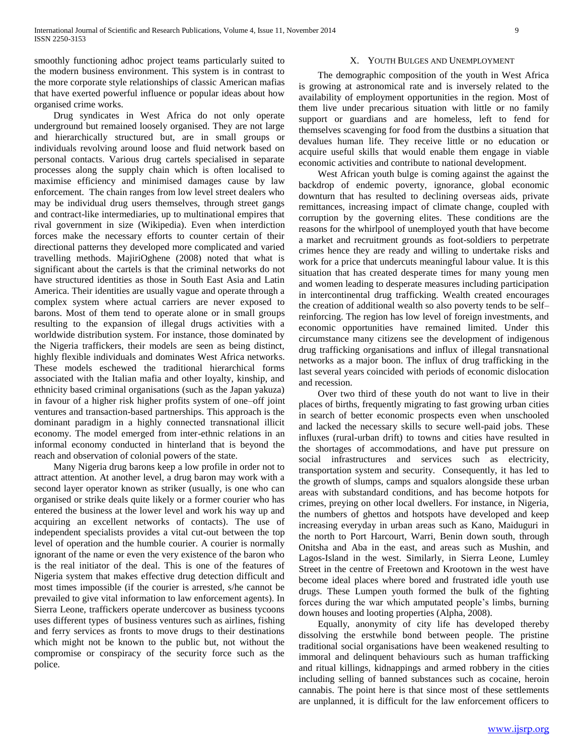smoothly functioning adhoc project teams particularly suited to the modern business environment. This system is in contrast to the more corporate style relationships of classic American mafias that have exerted powerful influence or popular ideas about how organised crime works.

 Drug syndicates in West Africa do not only operate underground but remained loosely organised. They are not large and hierarchically structured but, are in small groups or individuals revolving around loose and fluid network based on personal contacts. Various drug cartels specialised in separate processes along the supply chain which is often localised to maximise efficiency and minimised damages cause by law enforcement. The chain ranges from low level street dealers who may be individual drug users themselves, through street gangs and contract-like intermediaries, up to multinational empires that rival government in size (Wikipedia). Even when interdiction forces make the necessary efforts to counter certain of their directional patterns they developed more complicated and varied travelling methods. MajiriOghene (2008) noted that what is significant about the cartels is that the criminal networks do not have structured identities as those in South East Asia and Latin America. Their identities are usually vague and operate through a complex system where actual carriers are never exposed to barons. Most of them tend to operate alone or in small groups resulting to the expansion of illegal drugs activities with a worldwide distribution system. For instance, those dominated by the Nigeria traffickers, their models are seen as being distinct, highly flexible individuals and dominates West Africa networks. These models eschewed the traditional hierarchical forms associated with the Italian mafia and other loyalty, kinship, and ethnicity based criminal organisations (such as the Japan yakuza) in favour of a higher risk higher profits system of one–off joint ventures and transaction-based partnerships. This approach is the dominant paradigm in a highly connected transnational illicit economy. The model emerged from inter-ethnic relations in an informal economy conducted in hinterland that is beyond the reach and observation of colonial powers of the state.

 Many Nigeria drug barons keep a low profile in order not to attract attention. At another level, a drug baron may work with a second layer operator known as striker (usually, is one who can organised or strike deals quite likely or a former courier who has entered the business at the lower level and work his way up and acquiring an excellent networks of contacts). The use of independent specialists provides a vital cut-out between the top level of operation and the humble courier. A courier is normally ignorant of the name or even the very existence of the baron who is the real initiator of the deal. This is one of the features of Nigeria system that makes effective drug detection difficult and most times impossible (if the courier is arrested, s/he cannot be prevailed to give vital information to law enforcement agents). In Sierra Leone, traffickers operate undercover as business tycoons uses different types of business ventures such as airlines, fishing and ferry services as fronts to move drugs to their destinations which might not be known to the public but, not without the compromise or conspiracy of the security force such as the police.

## X. YOUTH BULGES AND UNEMPLOYMENT

 The demographic composition of the youth in West Africa is growing at astronomical rate and is inversely related to the availability of employment opportunities in the region. Most of them live under precarious situation with little or no family support or guardians and are homeless, left to fend for themselves scavenging for food from the dustbins a situation that devalues human life. They receive little or no education or acquire useful skills that would enable them engage in viable economic activities and contribute to national development.

 West African youth bulge is coming against the against the backdrop of endemic poverty, ignorance, global economic downturn that has resulted to declining overseas aids, private remittances, increasing impact of climate change, coupled with corruption by the governing elites. These conditions are the reasons for the whirlpool of unemployed youth that have become a market and recruitment grounds as foot-soldiers to perpetrate crimes hence they are ready and willing to undertake risks and work for a price that undercuts meaningful labour value. It is this situation that has created desperate times for many young men and women leading to desperate measures including participation in intercontinental drug trafficking. Wealth created encourages the creation of additional wealth so also poverty tends to be self– reinforcing. The region has low level of foreign investments, and economic opportunities have remained limited. Under this circumstance many citizens see the development of indigenous drug trafficking organisations and influx of illegal transnational networks as a major boon. The influx of drug trafficking in the last several years coincided with periods of economic dislocation and recession.

 Over two third of these youth do not want to live in their places of births, frequently migrating to fast growing urban cities in search of better economic prospects even when unschooled and lacked the necessary skills to secure well-paid jobs. These influxes (rural-urban drift) to towns and cities have resulted in the shortages of accommodations, and have put pressure on social infrastructures and services such as electricity, transportation system and security. Consequently, it has led to the growth of slumps, camps and squalors alongside these urban areas with substandard conditions, and has become hotpots for crimes, preying on other local dwellers. For instance, in Nigeria, the numbers of ghettos and hotspots have developed and keep increasing everyday in urban areas such as Kano, Maiduguri in the north to Port Harcourt, Warri, Benin down south, through Onitsha and Aba in the east, and areas such as Mushin, and Lagos-Island in the west. Similarly, in Sierra Leone, Lumley Street in the centre of Freetown and Krootown in the west have become ideal places where bored and frustrated idle youth use drugs. These Lumpen youth formed the bulk of the fighting forces during the war which amputated people's limbs, burning down houses and looting properties (Alpha, 2008).

 Equally, anonymity of city life has developed thereby dissolving the erstwhile bond between people. The pristine traditional social organisations have been weakened resulting to immoral and delinquent behaviours such as human trafficking and ritual killings, kidnappings and armed robbery in the cities including selling of banned substances such as cocaine, heroin cannabis. The point here is that since most of these settlements are unplanned, it is difficult for the law enforcement officers to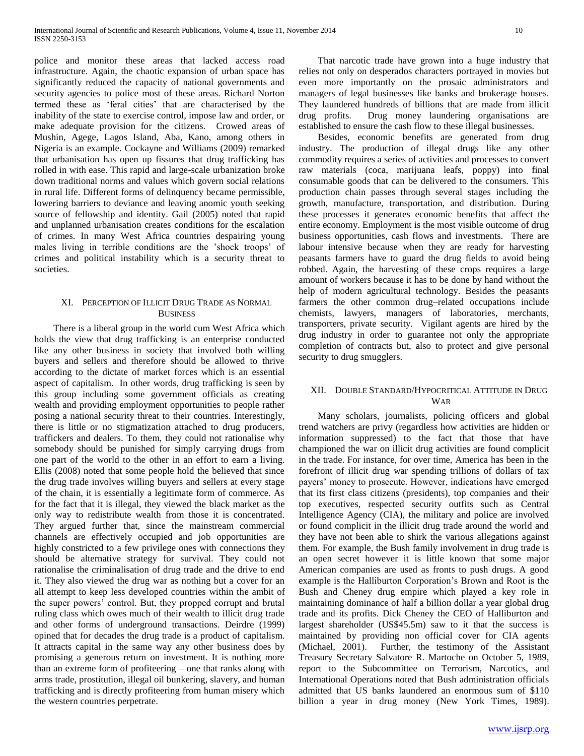police and monitor these areas that lacked access road infrastructure. Again, the chaotic expansion of urban space has significantly reduced the capacity of national governments and security agencies to police most of these areas. Richard Norton termed these as 'feral cities' that are characterised by the inability of the state to exercise control, impose law and order, or make adequate provision for the citizens. Crowed areas of Mushin, Agege, Lagos Island, Aba, Kano, among others in Nigeria is an example. Cockayne and Williams (2009) remarked that urbanisation has open up fissures that drug trafficking has rolled in with ease. This rapid and large-scale urbanization broke down traditional norms and values which govern social relations in rural life. Different forms of delinquency became permissible, lowering barriers to deviance and leaving anomic youth seeking source of fellowship and identity. Gail (2005) noted that rapid and unplanned urbanisation creates conditions for the escalation of crimes. In many West Africa countries despairing young males living in terrible conditions are the 'shock troops' of crimes and political instability which is a security threat to societies.

# XI. PERCEPTION OF ILLICIT DRUG TRADE AS NORMAL **BUSINESS**

 There is a liberal group in the world cum West Africa which holds the view that drug trafficking is an enterprise conducted like any other business in society that involved both willing buyers and sellers and therefore should be allowed to thrive according to the dictate of market forces which is an essential aspect of capitalism. In other words, drug trafficking is seen by this group including some government officials as creating wealth and providing employment opportunities to people rather posing a national security threat to their countries. Interestingly, there is little or no stigmatization attached to drug producers, traffickers and dealers. To them, they could not rationalise why somebody should be punished for simply carrying drugs from one part of the world to the other in an effort to earn a living. Ellis (2008) noted that some people hold the believed that since the drug trade involves willing buyers and sellers at every stage of the chain, it is essentially a legitimate form of commerce. As for the fact that it is illegal, they viewed the black market as the only way to redistribute wealth from those it is concentrated. They argued further that, since the mainstream commercial channels are effectively occupied and job opportunities are highly constricted to a few privilege ones with connections they should be alternative strategy for survival. They could not rationalise the criminalisation of drug trade and the drive to end it. They also viewed the drug war as nothing but a cover for an all attempt to keep less developed countries within the ambit of the super powers' control. But, they propped corrupt and brutal ruling class which owes much of their wealth to illicit drug trade and other forms of underground transactions. Deirdre (1999) opined that for decades the drug trade is a product of capitalism. It attracts capital in the same way any other business does by promising a generous return on investment. It is nothing more than an extreme form of profiteering – one that ranks along with arms trade, prostitution, illegal oil bunkering, slavery, and human trafficking and is directly profiteering from human misery which the western countries perpetrate.

 That narcotic trade have grown into a huge industry that relies not only on desperados characters portrayed in movies but even more importantly on the prosaic administrators and managers of legal businesses like banks and brokerage houses. They laundered hundreds of billions that are made from illicit drug profits. Drug money laundering organisations are established to ensure the cash flow to these illegal businesses.

 Besides, economic benefits are generated from drug industry. The production of illegal drugs like any other commodity requires a series of activities and processes to convert raw materials (coca, marijuana leafs, poppy) into final consumable goods that can be delivered to the consumers. This production chain passes through several stages including the growth, manufacture, transportation, and distribution. During these processes it generates economic benefits that affect the entire economy. Employment is the most visible outcome of drug business opportunities, cash flows and investments. There are labour intensive because when they are ready for harvesting peasants farmers have to guard the drug fields to avoid being robbed. Again, the harvesting of these crops requires a large amount of workers because it has to be done by hand without the help of modern agricultural technology. Besides the peasants farmers the other common drug–related occupations include chemists, lawyers, managers of laboratories, merchants, transporters, private security. Vigilant agents are hired by the drug industry in order to guarantee not only the appropriate completion of contracts but, also to protect and give personal security to drug smugglers.

# XII. DOUBLE STANDARD/HYPOCRITICAL ATTITUDE IN DRUG WAR

 Many scholars, journalists, policing officers and global trend watchers are privy (regardless how activities are hidden or information suppressed) to the fact that those that have championed the war on illicit drug activities are found complicit in the trade. For instance, for over time, America has been in the forefront of illicit drug war spending trillions of dollars of tax payers' money to prosecute. However, indications have emerged that its first class citizens (presidents), top companies and their top executives, respected security outfits such as Central Intelligence Agency (CIA), the military and police are involved or found complicit in the illicit drug trade around the world and they have not been able to shirk the various allegations against them. For example, the Bush family involvement in drug trade is an open secret however it is little known that some major American companies are used as fronts to push drugs. A good example is the Halliburton Corporation's Brown and Root is the Bush and Cheney drug empire which played a key role in maintaining dominance of half a billion dollar a year global drug trade and its profits. Dick Cheney the CEO of Halliburton and largest shareholder (US\$45.5m) saw to it that the success is maintained by providing non official cover for CIA agents (Michael, 2001). Further, the testimony of the Assistant Treasury Secretary Salvatore R. Martoche on October 5, 1989, report to the Subcommittee on Terrorism, Narcotics, and International Operations noted that Bush administration officials admitted that US banks laundered an enormous sum of \$110 billion a year in drug money (New York Times, 1989).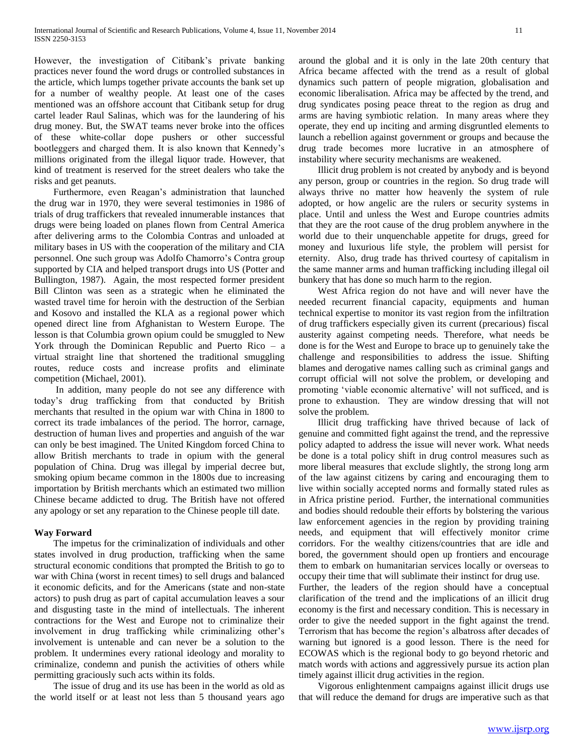However, the investigation of Citibank's private banking practices never found the word drugs or controlled substances in the article, which lumps together private accounts the bank set up for a number of wealthy people. At least one of the cases mentioned was an offshore account that Citibank setup for drug cartel leader Raul Salinas, which was for the laundering of his drug money. But, the SWAT teams never broke into the offices of these white-collar dope pushers or other successful bootleggers and charged them. It is also known that Kennedy's millions originated from the illegal liquor trade. However, that kind of treatment is reserved for the street dealers who take the risks and get peanuts.

 Furthermore, even Reagan's administration that launched the drug war in 1970, they were several testimonies in 1986 of trials of drug traffickers that revealed innumerable instances that drugs were being loaded on planes flown from Central America after delivering arms to the Colombia Contras and unloaded at military bases in US with the cooperation of the military and CIA personnel. One such group was Adolfo Chamorro's Contra group supported by CIA and helped transport drugs into US (Potter and Bullington, 1987). Again, the most respected former president Bill Clinton was seen as a strategic when he eliminated the wasted travel time for heroin with the destruction of the Serbian and Kosovo and installed the KLA as a regional power which opened direct line from Afghanistan to Western Europe. The lesson is that Columbia grown opium could be smuggled to New York through the Dominican Republic and Puerto Rico – a virtual straight line that shortened the traditional smuggling routes, reduce costs and increase profits and eliminate competition (Michael, 2001).

 In addition, many people do not see any difference with today's drug trafficking from that conducted by British merchants that resulted in the opium war with China in 1800 to correct its trade imbalances of the period. The horror, carnage, destruction of human lives and properties and anguish of the war can only be best imagined. The United Kingdom forced China to allow British merchants to trade in opium with the general population of China. Drug was illegal by imperial decree but, smoking opium became common in the 1800s due to increasing importation by British merchants which an estimated two million Chinese became addicted to drug. The British have not offered any apology or set any reparation to the Chinese people till date.

## **Way Forward**

 The impetus for the criminalization of individuals and other states involved in drug production, trafficking when the same structural economic conditions that prompted the British to go to war with China (worst in recent times) to sell drugs and balanced it economic deficits, and for the Americans (state and non-state actors) to push drug as part of capital accumulation leaves a sour and disgusting taste in the mind of intellectuals. The inherent contractions for the West and Europe not to criminalize their involvement in drug trafficking while criminalizing other's involvement is untenable and can never be a solution to the problem. It undermines every rational ideology and morality to criminalize, condemn and punish the activities of others while permitting graciously such acts within its folds.

 The issue of drug and its use has been in the world as old as the world itself or at least not less than 5 thousand years ago

around the global and it is only in the late 20th century that Africa became affected with the trend as a result of global dynamics such pattern of people migration, globalisation and economic liberalisation. Africa may be affected by the trend, and drug syndicates posing peace threat to the region as drug and arms are having symbiotic relation. In many areas where they operate, they end up inciting and arming disgruntled elements to launch a rebellion against government or groups and because the drug trade becomes more lucrative in an atmosphere of instability where security mechanisms are weakened.

 Illicit drug problem is not created by anybody and is beyond any person, group or countries in the region. So drug trade will always thrive no matter how heavenly the system of rule adopted, or how angelic are the rulers or security systems in place. Until and unless the West and Europe countries admits that they are the root cause of the drug problem anywhere in the world due to their unquenchable appetite for drugs, greed for money and luxurious life style, the problem will persist for eternity. Also, drug trade has thrived courtesy of capitalism in the same manner arms and human trafficking including illegal oil bunkery that has done so much harm to the region.

 West Africa region do not have and will never have the needed recurrent financial capacity, equipments and human technical expertise to monitor its vast region from the infiltration of drug traffickers especially given its current (precarious) fiscal austerity against competing needs. Therefore, what needs be done is for the West and Europe to brace up to genuinely take the challenge and responsibilities to address the issue. Shifting blames and derogative names calling such as criminal gangs and corrupt official will not solve the problem, or developing and promoting 'viable economic alternative' will not sufficed, and is prone to exhaustion. They are window dressing that will not solve the problem.

 Illicit drug trafficking have thrived because of lack of genuine and committed fight against the trend, and the repressive policy adapted to address the issue will never work. What needs be done is a total policy shift in drug control measures such as more liberal measures that exclude slightly, the strong long arm of the law against citizens by caring and encouraging them to live within socially accepted norms and formally stated rules as in Africa pristine period. Further, the international communities and bodies should redouble their efforts by bolstering the various law enforcement agencies in the region by providing training needs, and equipment that will effectively monitor crime corridors. For the wealthy citizens/countries that are idle and bored, the government should open up frontiers and encourage them to embark on humanitarian services locally or overseas to occupy their time that will sublimate their instinct for drug use. Further, the leaders of the region should have a conceptual

clarification of the trend and the implications of an illicit drug economy is the first and necessary condition. This is necessary in order to give the needed support in the fight against the trend. Terrorism that has become the region's albatross after decades of warning but ignored is a good lesson. There is the need for ECOWAS which is the regional body to go beyond rhetoric and match words with actions and aggressively pursue its action plan timely against illicit drug activities in the region.

 Vigorous enlightenment campaigns against illicit drugs use that will reduce the demand for drugs are imperative such as that